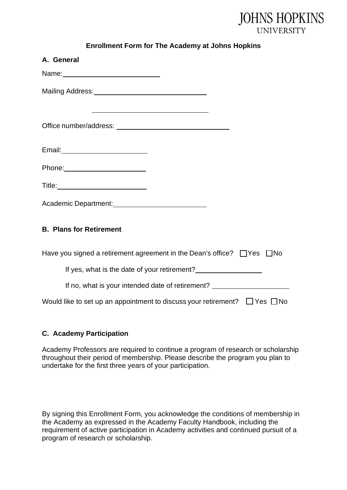

| <b>Enrollment Form for The Academy at Johns Hopkins</b> |  |  |  |
|---------------------------------------------------------|--|--|--|
|                                                         |  |  |  |

| A. General                                                                           |
|--------------------------------------------------------------------------------------|
|                                                                                      |
|                                                                                      |
| <u> 1989 - Johann Barn, mars et al. (b. 1989)</u>                                    |
|                                                                                      |
|                                                                                      |
|                                                                                      |
|                                                                                      |
| <b>B. Plans for Retirement</b>                                                       |
| Have you signed a retirement agreement in the Dean's office? □ Yes □ No              |
| If yes, what is the date of your retirement?                                         |
| If no, what is your intended date of retirement? _______________________________     |
| Would like to set up an appointment to discuss your retirement? $\Box$ Yes $\Box$ No |

## **C. Academy Participation**

Academy Professors are required to continue a program of research or scholarship throughout their period of membership. Please describe the program you plan to undertake for the first three years of your participation.

By signing this Enrollment Form, you acknowledge the conditions of membership in the Academy as expressed in the Academy Faculty Handbook, including the requirement of active participation in Academy activities and continued pursuit of a program of research or scholarship.